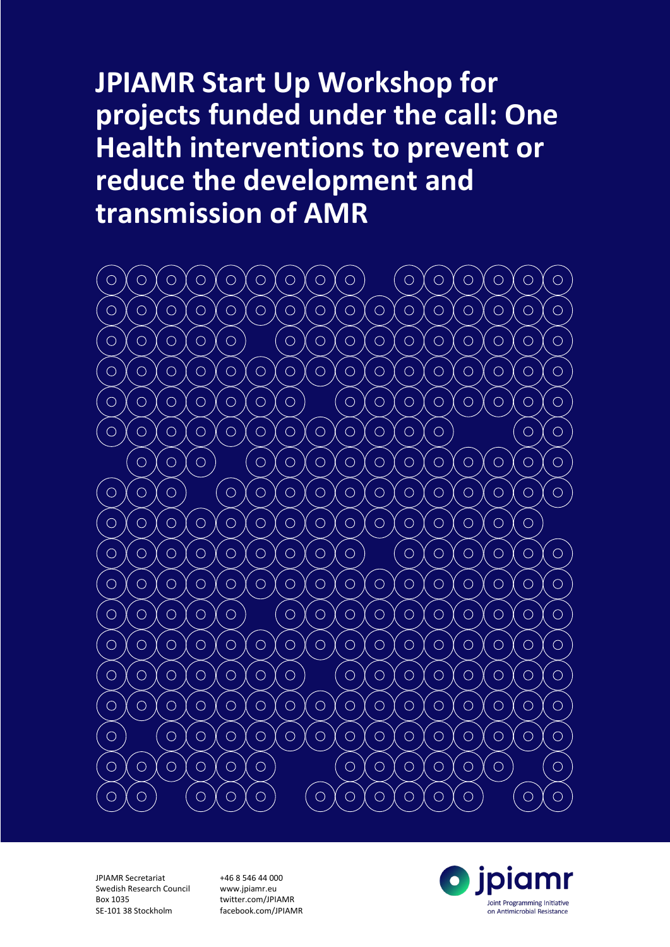# **JPIAMR Start Up Workshop for projects funded under the call: One Health interventions to prevent or reduce the development and transmission of AMR**



JPIAMR Secretariat Swedish Research Council Box 1035 SE-101 38 Stockholm

+46 8 546 44 000 www.jpiamr.eu twitter.com/JPIAMR facebook.com/JPIAMR

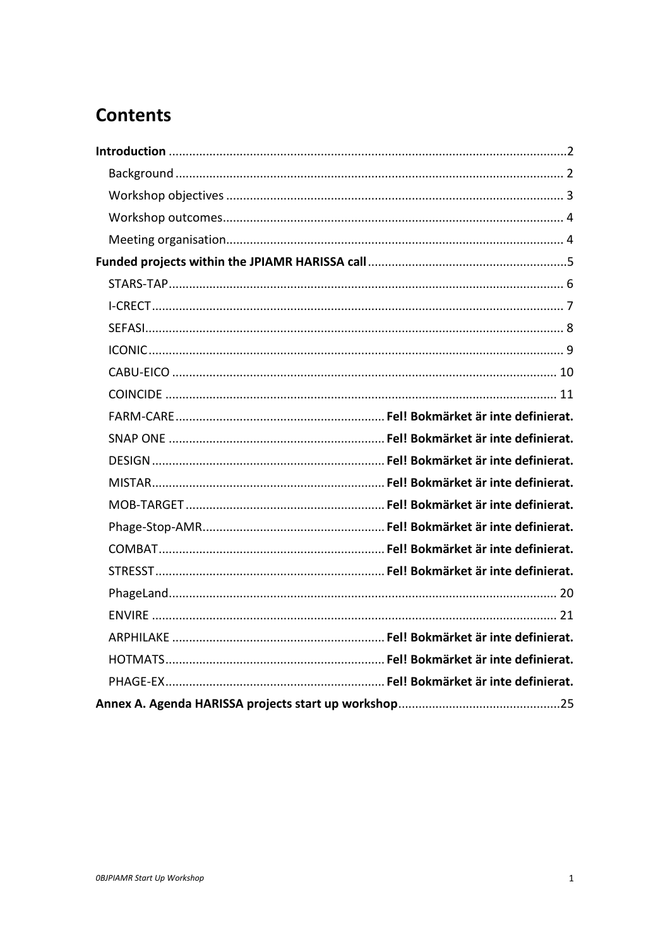# **Contents**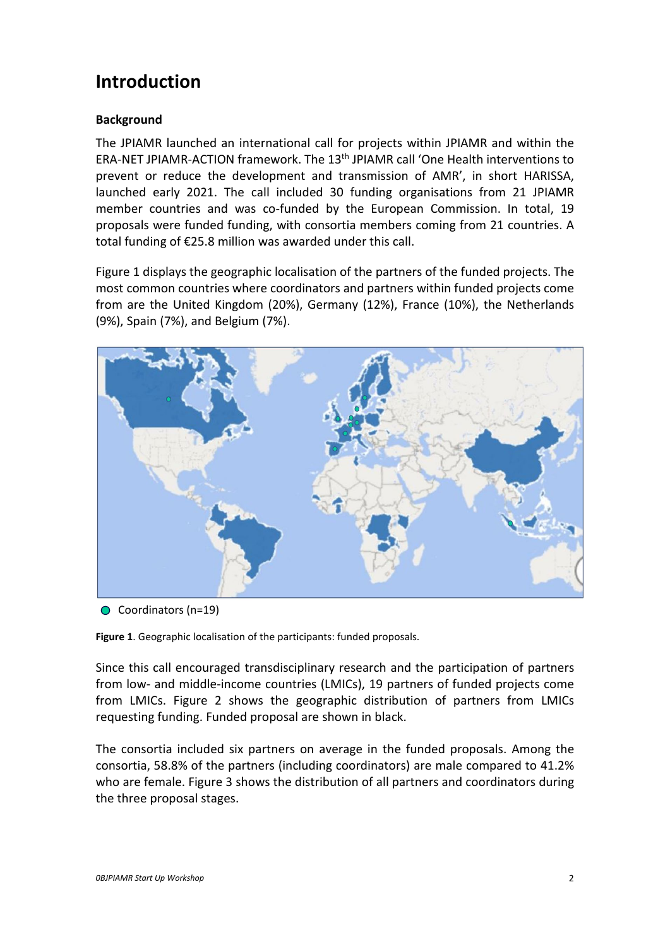# <span id="page-2-0"></span>**Introduction**

# <span id="page-2-1"></span>**Background**

The JPIAMR launched an international call for projects within JPIAMR and within the ERA-NET JPIAMR-ACTION framework. The 13th JPIAMR call 'One Health interventions to prevent or reduce the development and transmission of AMR', in short HARISSA, launched early 2021. The call included 30 funding organisations from 21 JPIAMR member countries and was co-funded by the European Commission. In total, 19 proposals were funded funding, with consortia members coming from 21 countries. A total funding of €25.8 million was awarded under this call.

Figure 1 displays the geographic localisation of the partners of the funded projects. The most common countries where coordinators and partners within funded projects come from are the United Kingdom (20%), Germany (12%), France (10%), the Netherlands (9%), Spain (7%), and Belgium (7%).



● Coordinators (n=19)

**Figure 1**. Geographic localisation of the participants: funded proposals.

Since this call encouraged transdisciplinary research and the participation of partners from low- and middle-income countries (LMICs), 19 partners of funded projects come from LMICs. Figure 2 shows the geographic distribution of partners from LMICs requesting funding. Funded proposal are shown in black.

The consortia included six partners on average in the funded proposals. Among the consortia, 58.8% of the partners (including coordinators) are male compared to 41.2% who are female. Figure 3 shows the distribution of all partners and coordinators during the three proposal stages.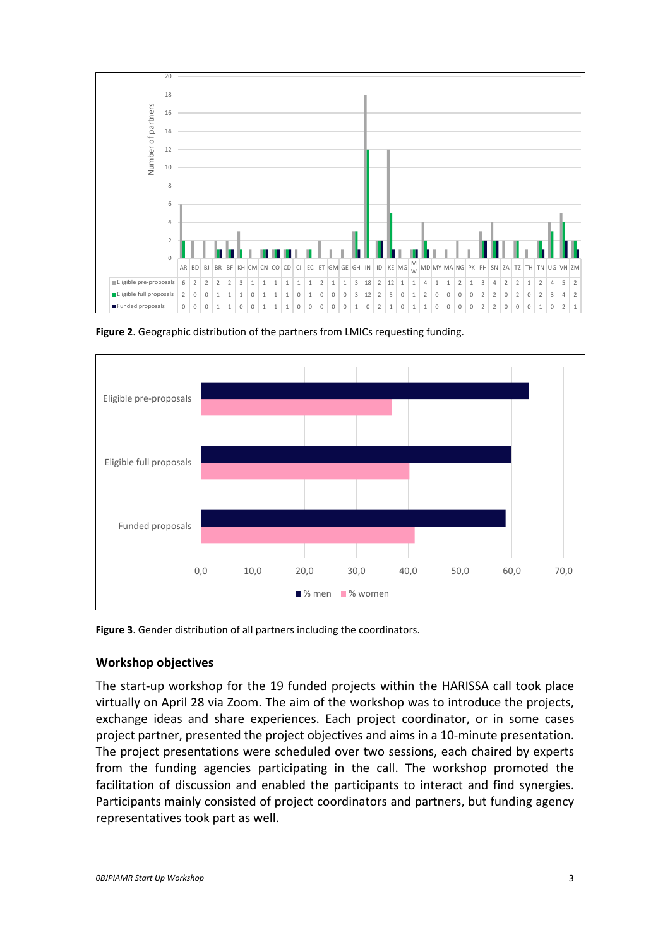

**Figure 2**. Geographic distribution of the partners from LMICs requesting funding.



**Figure 3**. Gender distribution of all partners including the coordinators.

# <span id="page-3-0"></span>**Workshop objectives**

The start-up workshop for the 19 funded projects within the HARISSA call took place virtually on April 28 via Zoom. The aim of the workshop was to introduce the projects, exchange ideas and share experiences. Each project coordinator, or in some cases project partner, presented the project objectives and aims in a 10-minute presentation. The project presentations were scheduled over two sessions, each chaired by experts from the funding agencies participating in the call. The workshop promoted the facilitation of discussion and enabled the participants to interact and find synergies. Participants mainly consisted of project coordinators and partners, but funding agency representatives took part as well.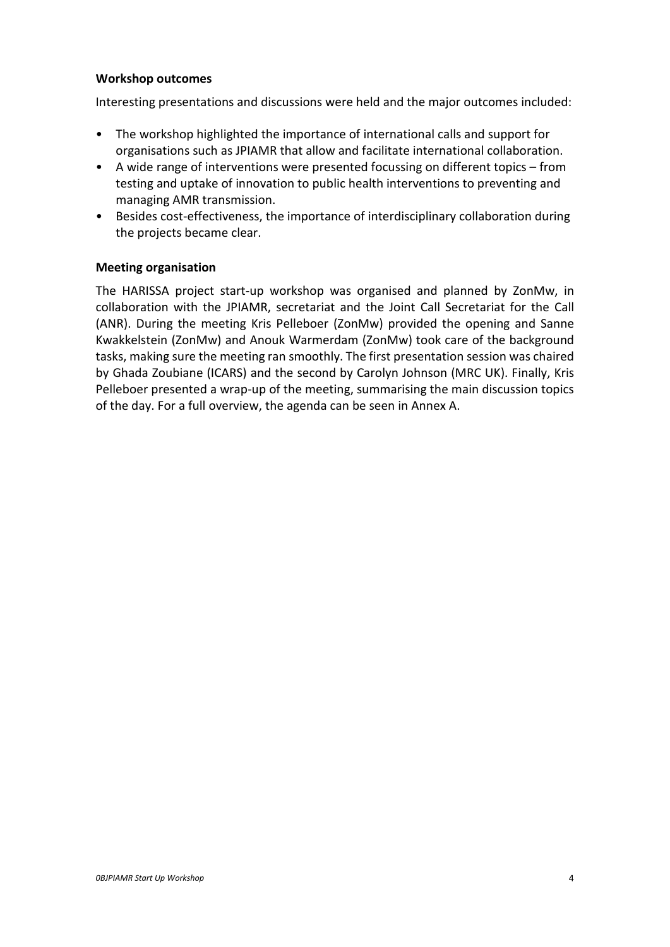#### <span id="page-4-0"></span>**Workshop outcomes**

Interesting presentations and discussions were held and the major outcomes included:

- The workshop highlighted the importance of international calls and support for organisations such as JPIAMR that allow and facilitate international collaboration.
- A wide range of interventions were presented focussing on different topics from testing and uptake of innovation to public health interventions to preventing and managing AMR transmission.
- Besides cost-effectiveness, the importance of interdisciplinary collaboration during the projects became clear.

#### <span id="page-4-1"></span>**Meeting organisation**

The HARISSA project start-up workshop was organised and planned by ZonMw, in collaboration with the JPIAMR, secretariat and the Joint Call Secretariat for the Call (ANR). During the meeting Kris Pelleboer (ZonMw) provided the opening and Sanne Kwakkelstein (ZonMw) and Anouk Warmerdam (ZonMw) took care of the background tasks, making sure the meeting ran smoothly. The first presentation session was chaired by Ghada Zoubiane (ICARS) and the second by Carolyn Johnson (MRC UK). Finally, Kris Pelleboer presented a wrap-up of the meeting, summarising the main discussion topics of the day. For a full overview, the agenda can be seen in Annex A.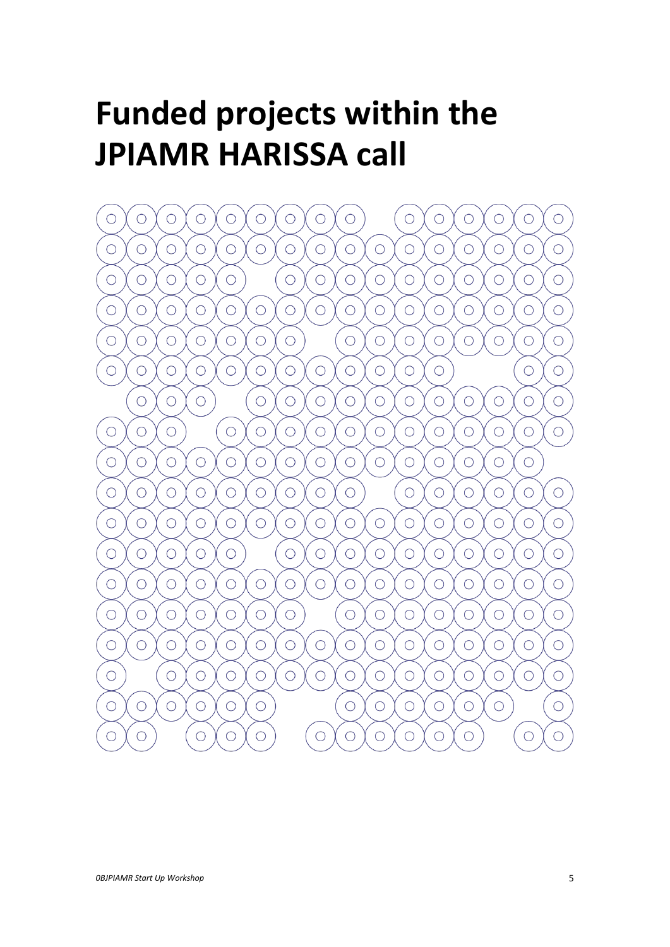# <span id="page-5-0"></span>**Funded projects within the JPIAMR HARISSA call**

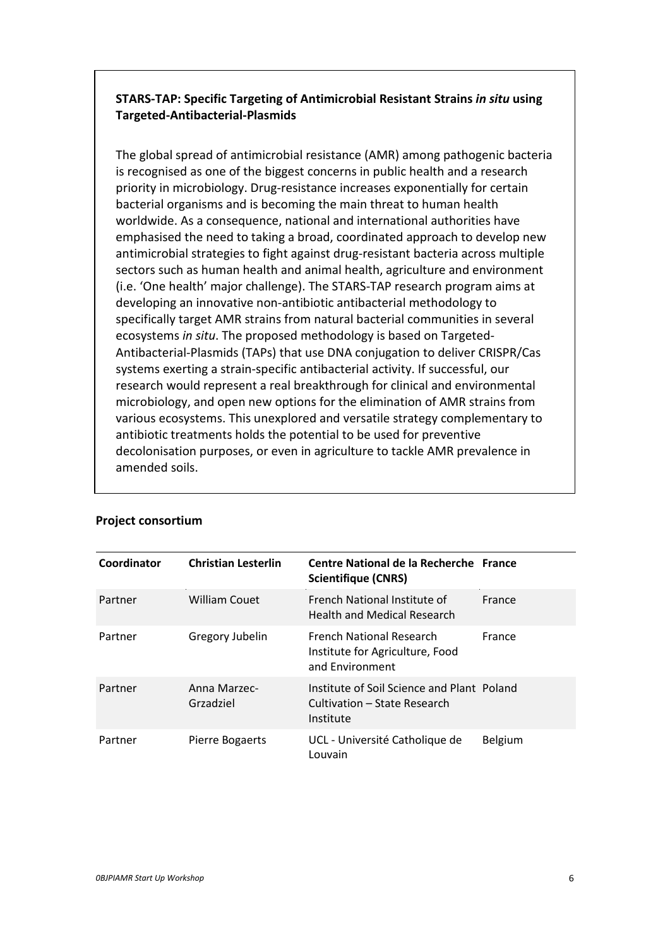# **STARS-TAP: Specific Targeting of Antimicrobial Resistant Strains** *in situ* **using Targeted-Antibacterial-Plasmids**

The global spread of antimicrobial resistance (AMR) among pathogenic bacteria is recognised as one of the biggest concerns in public health and a research priority in microbiology. Drug-resistance increases exponentially for certain bacterial organisms and is becoming the main threat to human health worldwide. As a consequence, national and international authorities have emphasised the need to taking a broad, coordinated approach to develop new antimicrobial strategies to fight against drug-resistant bacteria across multiple sectors such as human health and animal health, agriculture and environment (i.e. 'One health' major challenge). The STARS-TAP research program aims at developing an innovative non-antibiotic antibacterial methodology to specifically target AMR strains from natural bacterial communities in several ecosystems *in situ*. The proposed methodology is based on Targeted-Antibacterial-Plasmids (TAPs) that use DNA conjugation to deliver CRISPR/Cas systems exerting a strain-specific antibacterial activity. If successful, our research would represent a real breakthrough for clinical and environmental microbiology, and open new options for the elimination of AMR strains from various ecosystems. This unexplored and versatile strategy complementary to antibiotic treatments holds the potential to be used for preventive decolonisation purposes, or even in agriculture to tackle AMR prevalence in amended soils.

| Coordinator | <b>Christian Lesterlin</b> | Centre National de la Recherche France<br><b>Scientifique (CNRS)</b>                    |                |
|-------------|----------------------------|-----------------------------------------------------------------------------------------|----------------|
| Partner     | <b>William Couet</b>       | French National Institute of<br><b>Health and Medical Research</b>                      | France         |
| Partner     | Gregory Jubelin            | <b>French National Research</b><br>Institute for Agriculture, Food<br>and Environment   | France         |
| Partner     | Anna Marzec-<br>Grzadziel  | Institute of Soil Science and Plant Poland<br>Cultivation – State Research<br>Institute |                |
| Partner     | Pierre Bogaerts            | UCL - Université Catholique de<br>Louvain                                               | <b>Belgium</b> |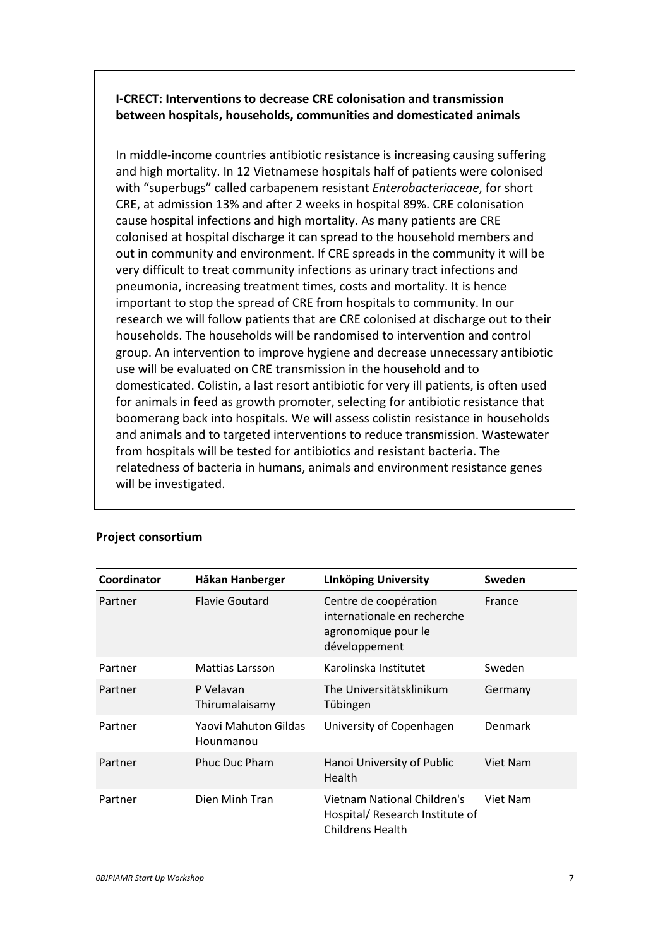# **I-CRECT: Interventions to decrease CRE colonisation and transmission between hospitals, households, communities and domesticated animals**

In middle-income countries antibiotic resistance is increasing causing suffering and high mortality. In 12 Vietnamese hospitals half of patients were colonised with "superbugs" called carbapenem resistant *Enterobacteriaceae*, for short CRE, at admission 13% and after 2 weeks in hospital 89%. CRE colonisation cause hospital infections and high mortality. As many patients are CRE colonised at hospital discharge it can spread to the household members and out in community and environment. If CRE spreads in the community it will be very difficult to treat community infections as urinary tract infections and pneumonia, increasing treatment times, costs and mortality. It is hence important to stop the spread of CRE from hospitals to community. In our research we will follow patients that are CRE colonised at discharge out to their households. The households will be randomised to intervention and control group. An intervention to improve hygiene and decrease unnecessary antibiotic use will be evaluated on CRE transmission in the household and to domesticated. Colistin, a last resort antibiotic for very ill patients, is often used for animals in feed as growth promoter, selecting for antibiotic resistance that boomerang back into hospitals. We will assess colistin resistance in households and animals and to targeted interventions to reduce transmission. Wastewater from hospitals will be tested for antibiotics and resistant bacteria. The relatedness of bacteria in humans, animals and environment resistance genes will be investigated.

| Coordinator | Håkan Hanberger                   | <b>Linköping University</b>                                                                  | Sweden   |
|-------------|-----------------------------------|----------------------------------------------------------------------------------------------|----------|
| Partner     | <b>Flavie Goutard</b>             | Centre de coopération<br>internationale en recherche<br>agronomique pour le<br>développement | France   |
| Partner     | Mattias Larsson                   | Karolinska Institutet                                                                        | Sweden   |
| Partner     | P Velavan<br>Thirumalaisamy       | The Universitätsklinikum<br>Tübingen                                                         | Germany  |
| Partner     | Yaovi Mahuton Gildas<br>Hounmanou | University of Copenhagen                                                                     | Denmark  |
| Partner     | <b>Phuc Duc Pham</b>              | Hanoi University of Public<br>Health                                                         | Viet Nam |
| Partner     | Dien Minh Tran                    | Vietnam National Children's<br>Hospital/ Research Institute of<br><b>Childrens Health</b>    | Viet Nam |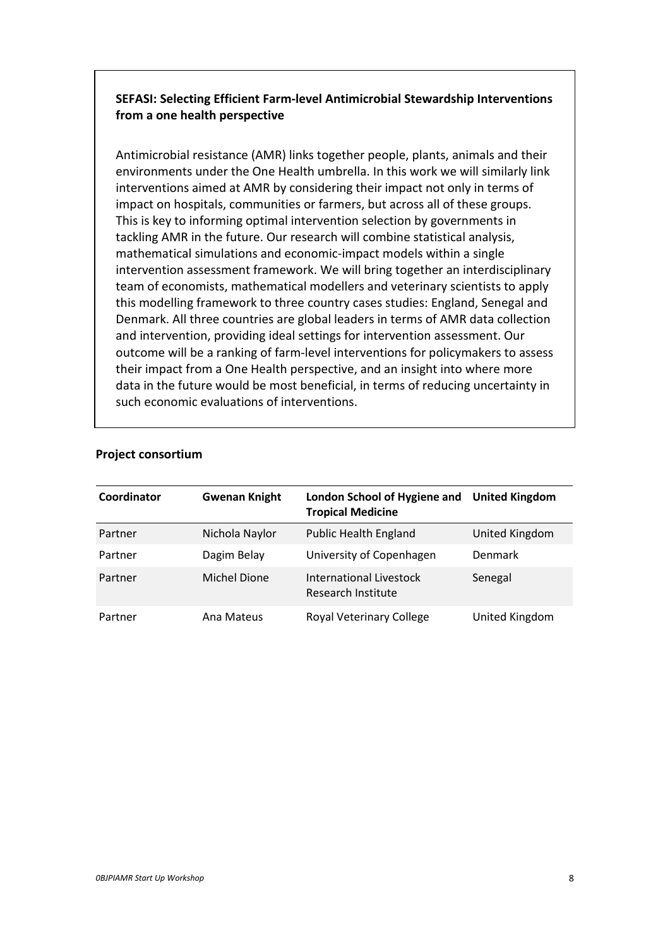# **SEFASI: Selecting Efficient Farm-level Antimicrobial Stewardship Interventions from a one health perspective**

Antimicrobial resistance (AMR) links together people, plants, animals and their environments under the One Health umbrella. In this work we will similarly link interventions aimed at AMR by considering their impact not only in terms of impact on hospitals, communities or farmers, but across all of these groups. This is key to informing optimal intervention selection by governments in tackling AMR in the future. Our research will combine statistical analysis, mathematical simulations and economic-impact models within a single intervention assessment framework. We will bring together an interdisciplinary team of economists, mathematical modellers and veterinary scientists to apply this modelling framework to three country cases studies: England, Senegal and Denmark. All three countries are global leaders in terms of AMR data collection and intervention, providing ideal settings for intervention assessment. Our outcome will be a ranking of farm-level interventions for policymakers to assess their impact from a One Health perspective, and an insight into where more data in the future would be most beneficial, in terms of reducing uncertainty in such economic evaluations of interventions.

| Coordinator | <b>Gwenan Knight</b> | London School of Hygiene and<br><b>Tropical Medicine</b> | <b>United Kingdom</b> |
|-------------|----------------------|----------------------------------------------------------|-----------------------|
| Partner     | Nichola Naylor       | <b>Public Health England</b>                             | United Kingdom        |
| Partner     | Dagim Belay          | University of Copenhagen                                 | Denmark               |
| Partner     | Michel Dione         | International Livestock<br>Research Institute            | Senegal               |
| Partner     | Ana Mateus           | Royal Veterinary College                                 | United Kingdom        |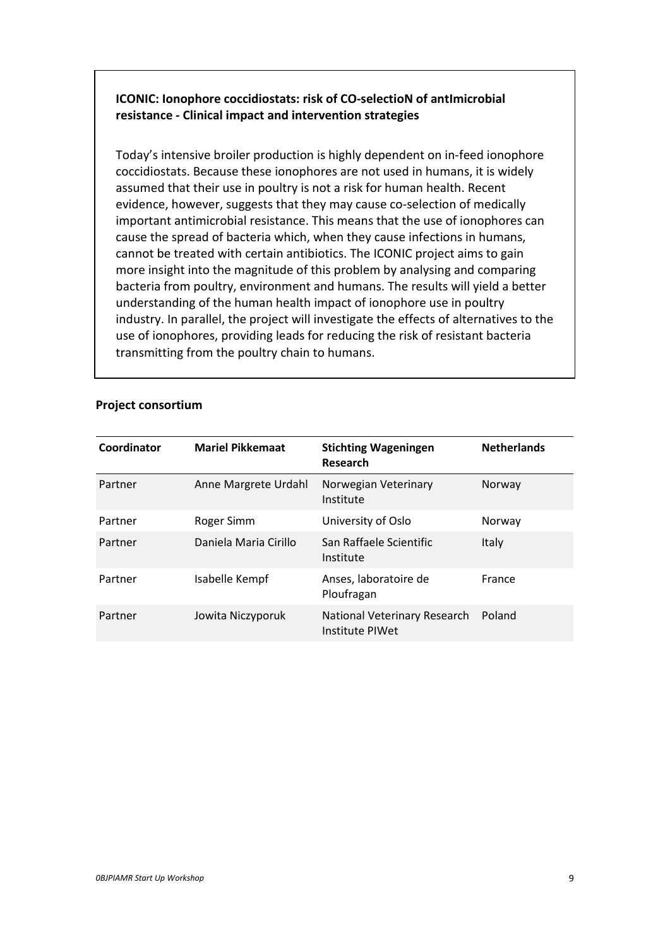# **ICONIC: Ionophore coccidiostats: risk of CO-selectioN of antImicrobial resistance - Clinical impact and intervention strategies**

Today's intensive broiler production is highly dependent on in-feed ionophore coccidiostats. Because these ionophores are not used in humans, it is widely assumed that their use in poultry is not a risk for human health. Recent evidence, however, suggests that they may cause co-selection of medically important antimicrobial resistance. This means that the use of ionophores can cause the spread of bacteria which, when they cause infections in humans, cannot be treated with certain antibiotics. The ICONIC project aims to gain more insight into the magnitude of this problem by analysing and comparing bacteria from poultry, environment and humans. The results will yield a better understanding of the human health impact of ionophore use in poultry industry. In parallel, the project will investigate the effects of alternatives to the use of ionophores, providing leads for reducing the risk of resistant bacteria transmitting from the poultry chain to humans.

| Coordinator | <b>Mariel Pikkemaat</b> | <b>Stichting Wageningen</b><br>Research         | <b>Netherlands</b> |
|-------------|-------------------------|-------------------------------------------------|--------------------|
| Partner     | Anne Margrete Urdahl    | Norwegian Veterinary<br>Institute               | Norway             |
| Partner     | Roger Simm              | University of Oslo                              | Norway             |
| Partner     | Daniela Maria Cirillo   | San Raffaele Scientific<br>Institute            | Italy              |
| Partner     | Isabelle Kempf          | Anses, laboratoire de<br>Ploufragan             | France             |
| Partner     | Jowita Niczyporuk       | National Veterinary Research<br>Institute PIWet | Poland             |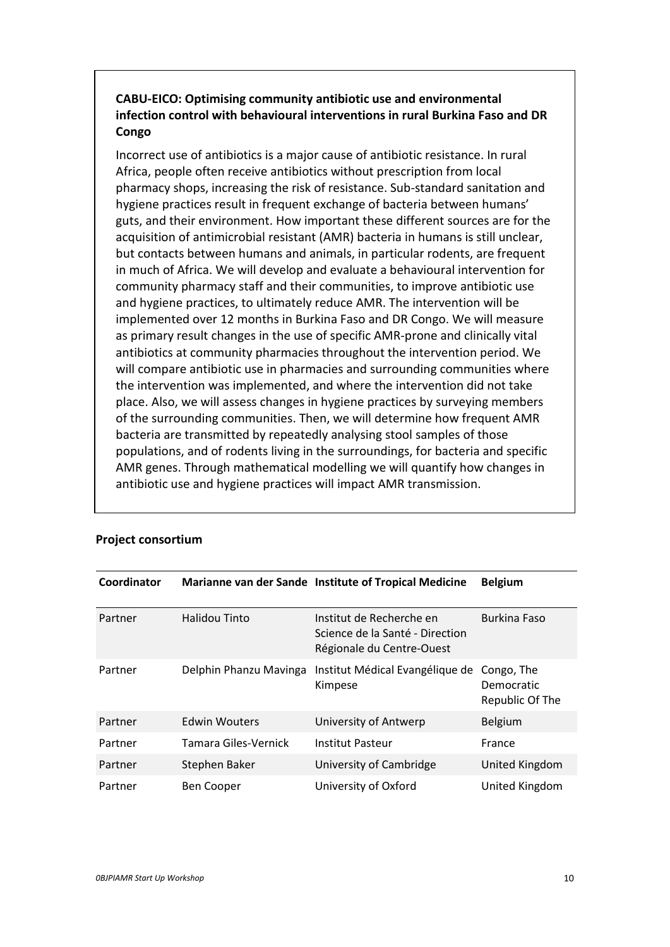# **CABU-EICO: Optimising community antibiotic use and environmental infection control with behavioural interventions in rural Burkina Faso and DR Congo**

Incorrect use of antibiotics is a major cause of antibiotic resistance. In rural Africa, people often receive antibiotics without prescription from local pharmacy shops, increasing the risk of resistance. Sub-standard sanitation and hygiene practices result in frequent exchange of bacteria between humans' guts, and their environment. How important these different sources are for the acquisition of antimicrobial resistant (AMR) bacteria in humans is still unclear, but contacts between humans and animals, in particular rodents, are frequent in much of Africa. We will develop and evaluate a behavioural intervention for community pharmacy staff and their communities, to improve antibiotic use and hygiene practices, to ultimately reduce AMR. The intervention will be implemented over 12 months in Burkina Faso and DR Congo. We will measure as primary result changes in the use of specific AMR-prone and clinically vital antibiotics at community pharmacies throughout the intervention period. We will compare antibiotic use in pharmacies and surrounding communities where the intervention was implemented, and where the intervention did not take place. Also, we will assess changes in hygiene practices by surveying members of the surrounding communities. Then, we will determine how frequent AMR bacteria are transmitted by repeatedly analysing stool samples of those populations, and of rodents living in the surroundings, for bacteria and specific AMR genes. Through mathematical modelling we will quantify how changes in antibiotic use and hygiene practices will impact AMR transmission.

| Coordinator |                        | Marianne van der Sande Institute of Tropical Medicine                                    | <b>Belgium</b>                              |
|-------------|------------------------|------------------------------------------------------------------------------------------|---------------------------------------------|
| Partner     | Halidou Tinto          | Institut de Recherche en<br>Science de la Santé - Direction<br>Régionale du Centre-Ouest | <b>Burkina Faso</b>                         |
| Partner     | Delphin Phanzu Mavinga | Institut Médical Evangélique de<br>Kimpese                                               | Congo, The<br>Democratic<br>Republic Of The |
| Partner     | <b>Edwin Wouters</b>   | University of Antwerp                                                                    | <b>Belgium</b>                              |
| Partner     | Tamara Giles-Vernick   | Institut Pasteur                                                                         | France                                      |
| Partner     | Stephen Baker          | University of Cambridge                                                                  | United Kingdom                              |
| Partner     | Ben Cooper             | University of Oxford                                                                     | United Kingdom                              |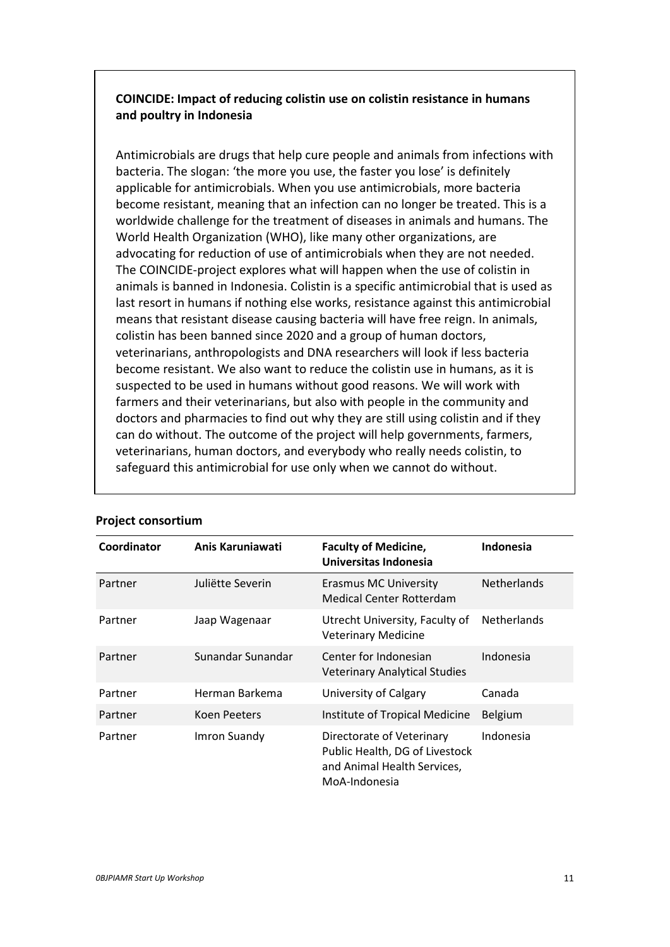# **COINCIDE: Impact of reducing colistin use on colistin resistance in humans and poultry in Indonesia**

Antimicrobials are drugs that help cure people and animals from infections with bacteria. The slogan: 'the more you use, the faster you lose' is definitely applicable for antimicrobials. When you use antimicrobials, more bacteria become resistant, meaning that an infection can no longer be treated. This is a worldwide challenge for the treatment of diseases in animals and humans. The World Health Organization (WHO), like many other organizations, are advocating for reduction of use of antimicrobials when they are not needed. The COINCIDE-project explores what will happen when the use of colistin in animals is banned in Indonesia. Colistin is a specific antimicrobial that is used as last resort in humans if nothing else works, resistance against this antimicrobial means that resistant disease causing bacteria will have free reign. In animals, colistin has been banned since 2020 and a group of human doctors, veterinarians, anthropologists and DNA researchers will look if less bacteria become resistant. We also want to reduce the colistin use in humans, as it is suspected to be used in humans without good reasons. We will work with farmers and their veterinarians, but also with people in the community and doctors and pharmacies to find out why they are still using colistin and if they can do without. The outcome of the project will help governments, farmers, veterinarians, human doctors, and everybody who really needs colistin, to safeguard this antimicrobial for use only when we cannot do without.

| Coordinator | Anis Karuniawati  | <b>Faculty of Medicine,</b><br>Universitas Indonesia                                                        | Indonesia          |
|-------------|-------------------|-------------------------------------------------------------------------------------------------------------|--------------------|
| Partner     | Juliëtte Severin  | <b>Erasmus MC University</b><br>Medical Center Rotterdam                                                    | <b>Netherlands</b> |
| Partner     | Jaap Wagenaar     | Utrecht University, Faculty of<br><b>Veterinary Medicine</b>                                                | <b>Netherlands</b> |
| Partner     | Sunandar Sunandar | Center for Indonesian<br><b>Veterinary Analytical Studies</b>                                               | Indonesia          |
| Partner     | Herman Barkema    | University of Calgary                                                                                       | Canada             |
| Partner     | Koen Peeters      | Institute of Tropical Medicine                                                                              | Belgium            |
| Partner     | Imron Suandy      | Directorate of Veterinary<br>Public Health, DG of Livestock<br>and Animal Health Services,<br>MoA-Indonesia | Indonesia          |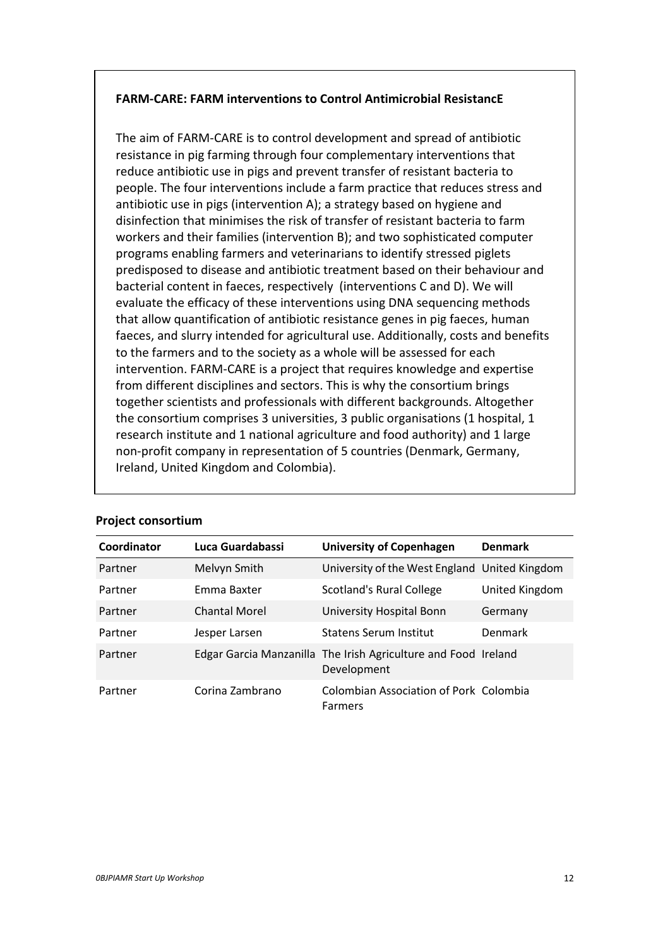# **FARM-CARE: FARM interventions to Control Antimicrobial ResistancE**

The aim of FARM-CARE is to control development and spread of antibiotic resistance in pig farming through four complementary interventions that reduce antibiotic use in pigs and prevent transfer of resistant bacteria to people. The four interventions include a farm practice that reduces stress and antibiotic use in pigs (intervention A); a strategy based on hygiene and disinfection that minimises the risk of transfer of resistant bacteria to farm workers and their families (intervention B); and two sophisticated computer programs enabling farmers and veterinarians to identify stressed piglets predisposed to disease and antibiotic treatment based on their behaviour and bacterial content in faeces, respectively (interventions C and D). We will evaluate the efficacy of these interventions using DNA sequencing methods that allow quantification of antibiotic resistance genes in pig faeces, human faeces, and slurry intended for agricultural use. Additionally, costs and benefits to the farmers and to the society as a whole will be assessed for each intervention. FARM-CARE is a project that requires knowledge and expertise from different disciplines and sectors. This is why the consortium brings together scientists and professionals with different backgrounds. Altogether the consortium comprises 3 universities, 3 public organisations (1 hospital, 1 research institute and 1 national agriculture and food authority) and 1 large non-profit company in representation of 5 countries (Denmark, Germany, Ireland, United Kingdom and Colombia).

| Coordinator | Luca Guardabassi | <b>University of Copenhagen</b>                                               | <b>Denmark</b> |
|-------------|------------------|-------------------------------------------------------------------------------|----------------|
| Partner     | Melvyn Smith     | University of the West England United Kingdom                                 |                |
| Partner     | Emma Baxter      | <b>Scotland's Rural College</b>                                               | United Kingdom |
| Partner     | Chantal Morel    | University Hospital Bonn                                                      | Germany        |
| Partner     | Jesper Larsen    | <b>Statens Serum Institut</b>                                                 | Denmark        |
| Partner     |                  | Edgar Garcia Manzanilla The Irish Agriculture and Food Ireland<br>Development |                |
| Partner     | Corina Zambrano  | Colombian Association of Pork Colombia<br>Farmers                             |                |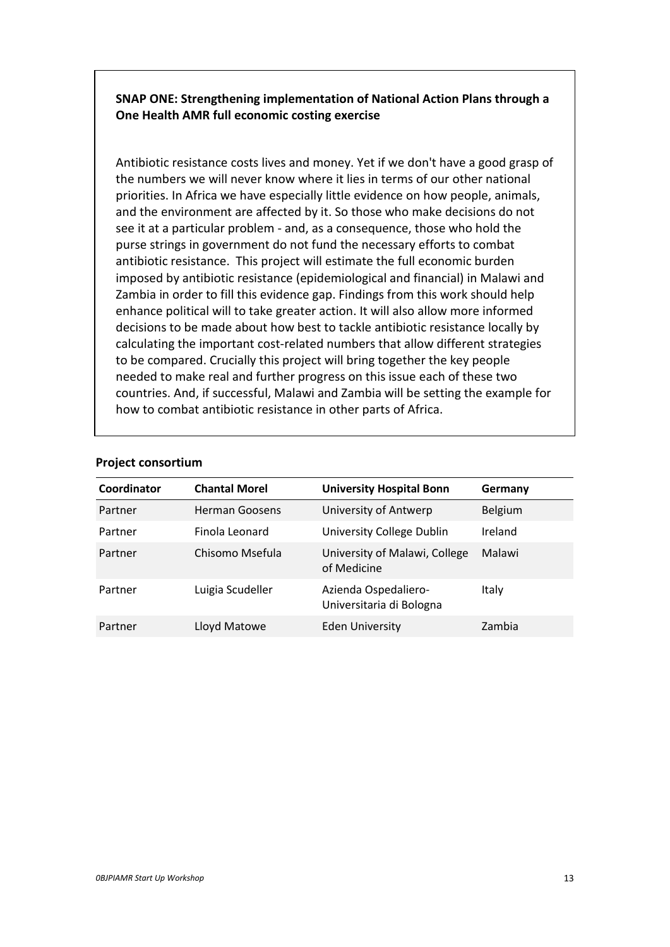**SNAP ONE: Strengthening implementation of National Action Plans through a One Health AMR full economic costing exercise**

Antibiotic resistance costs lives and money. Yet if we don't have a good grasp of the numbers we will never know where it lies in terms of our other national priorities. In Africa we have especially little evidence on how people, animals, and the environment are affected by it. So those who make decisions do not see it at a particular problem - and, as a consequence, those who hold the purse strings in government do not fund the necessary efforts to combat antibiotic resistance. This project will estimate the full economic burden imposed by antibiotic resistance (epidemiological and financial) in Malawi and Zambia in order to fill this evidence gap. Findings from this work should help enhance political will to take greater action. It will also allow more informed decisions to be made about how best to tackle antibiotic resistance locally by calculating the important cost-related numbers that allow different strategies to be compared. Crucially this project will bring together the key people needed to make real and further progress on this issue each of these two countries. And, if successful, Malawi and Zambia will be setting the example for how to combat antibiotic resistance in other parts of Africa.

| Coordinator | <b>Chantal Morel</b>  | <b>University Hospital Bonn</b>                  | Germany |
|-------------|-----------------------|--------------------------------------------------|---------|
| Partner     | <b>Herman Goosens</b> | University of Antwerp                            | Belgium |
| Partner     | Finola Leonard        | University College Dublin                        | Ireland |
| Partner     | Chisomo Msefula       | University of Malawi, College<br>of Medicine     | Malawi  |
| Partner     | Luigia Scudeller      | Azienda Ospedaliero-<br>Universitaria di Bologna | Italy   |
| Partner     | Lloyd Matowe          | <b>Eden University</b>                           | Zambia  |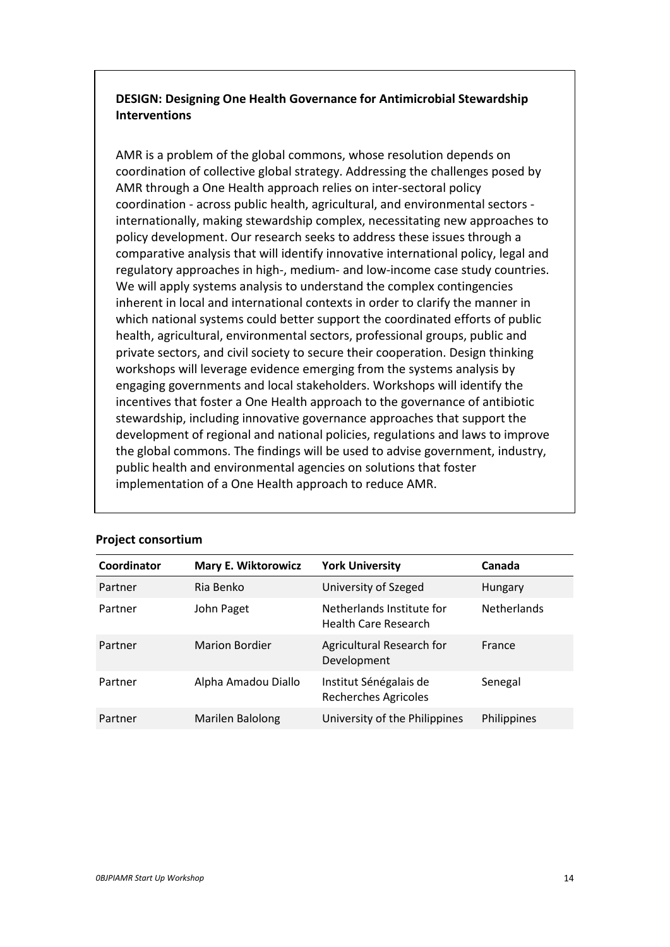# **DESIGN: Designing One Health Governance for Antimicrobial Stewardship Interventions**

AMR is a problem of the global commons, whose resolution depends on coordination of collective global strategy. Addressing the challenges posed by AMR through a One Health approach relies on inter-sectoral policy coordination - across public health, agricultural, and environmental sectors internationally, making stewardship complex, necessitating new approaches to policy development. Our research seeks to address these issues through a comparative analysis that will identify innovative international policy, legal and regulatory approaches in high-, medium- and low-income case study countries. We will apply systems analysis to understand the complex contingencies inherent in local and international contexts in order to clarify the manner in which national systems could better support the coordinated efforts of public health, agricultural, environmental sectors, professional groups, public and private sectors, and civil society to secure their cooperation. Design thinking workshops will leverage evidence emerging from the systems analysis by engaging governments and local stakeholders. Workshops will identify the incentives that foster a One Health approach to the governance of antibiotic stewardship, including innovative governance approaches that support the development of regional and national policies, regulations and laws to improve the global commons. The findings will be used to advise government, industry, public health and environmental agencies on solutions that foster implementation of a One Health approach to reduce AMR.

| Coordinator | <b>Mary E. Wiktorowicz</b> | <b>York University</b>                                   | Canada             |
|-------------|----------------------------|----------------------------------------------------------|--------------------|
| Partner     | Ria Benko                  | University of Szeged                                     | Hungary            |
| Partner     | John Paget                 | Netherlands Institute for<br><b>Health Care Research</b> | <b>Netherlands</b> |
| Partner     | <b>Marion Bordier</b>      | Agricultural Research for<br>Development                 | France             |
| Partner     | Alpha Amadou Diallo        | Institut Sénégalais de<br><b>Recherches Agricoles</b>    | Senegal            |
| Partner     | Marilen Balolong           | University of the Philippines                            | Philippines        |
|             |                            |                                                          |                    |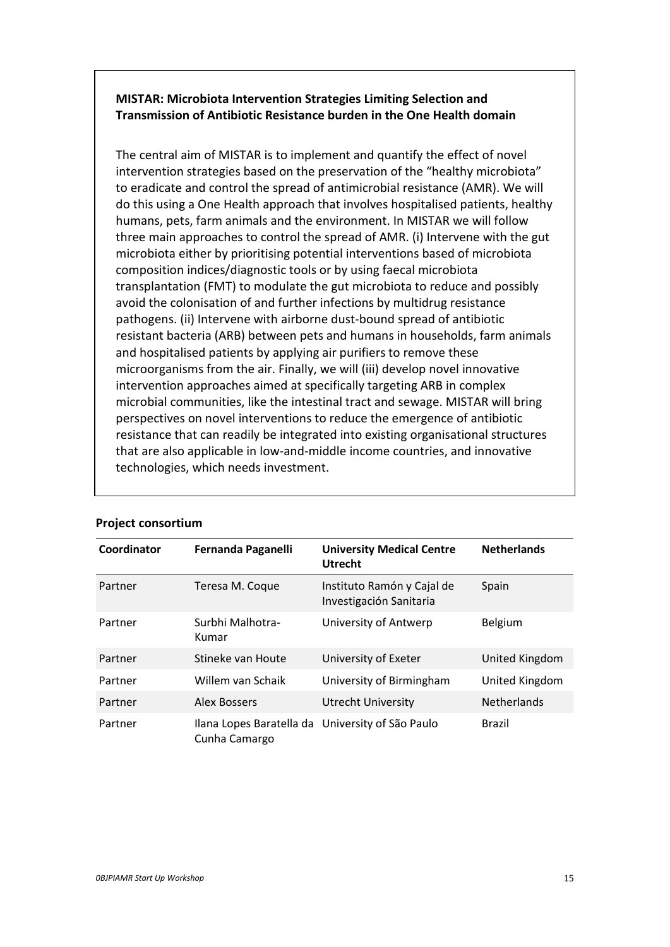# **MISTAR: Microbiota Intervention Strategies Limiting Selection and Transmission of Antibiotic Resistance burden in the One Health domain**

The central aim of MISTAR is to implement and quantify the effect of novel intervention strategies based on the preservation of the "healthy microbiota" to eradicate and control the spread of antimicrobial resistance (AMR). We will do this using a One Health approach that involves hospitalised patients, healthy humans, pets, farm animals and the environment. In MISTAR we will follow three main approaches to control the spread of AMR. (i) Intervene with the gut microbiota either by prioritising potential interventions based of microbiota composition indices/diagnostic tools or by using faecal microbiota transplantation (FMT) to modulate the gut microbiota to reduce and possibly avoid the colonisation of and further infections by multidrug resistance pathogens. (ii) Intervene with airborne dust-bound spread of antibiotic resistant bacteria (ARB) between pets and humans in households, farm animals and hospitalised patients by applying air purifiers to remove these microorganisms from the air. Finally, we will (iii) develop novel innovative intervention approaches aimed at specifically targeting ARB in complex microbial communities, like the intestinal tract and sewage. MISTAR will bring perspectives on novel interventions to reduce the emergence of antibiotic resistance that can readily be integrated into existing organisational structures that are also applicable in low-and-middle income countries, and innovative technologies, which needs investment.

| Coordinator | Fernanda Paganelli                                                | <b>University Medical Centre</b><br><b>Utrecht</b>    | <b>Netherlands</b> |
|-------------|-------------------------------------------------------------------|-------------------------------------------------------|--------------------|
| Partner     | Teresa M. Coque                                                   | Instituto Ramón y Cajal de<br>Investigación Sanitaria | Spain              |
| Partner     | Surbhi Malhotra-<br>Kumar                                         | University of Antwerp                                 | Belgium            |
| Partner     | Stineke van Houte                                                 | University of Exeter                                  | United Kingdom     |
| Partner     | Willem van Schaik                                                 | University of Birmingham                              | United Kingdom     |
| Partner     | <b>Alex Bossers</b>                                               | <b>Utrecht University</b>                             | <b>Netherlands</b> |
| Partner     | Ilana Lopes Baratella da University of São Paulo<br>Cunha Camargo |                                                       | <b>Brazil</b>      |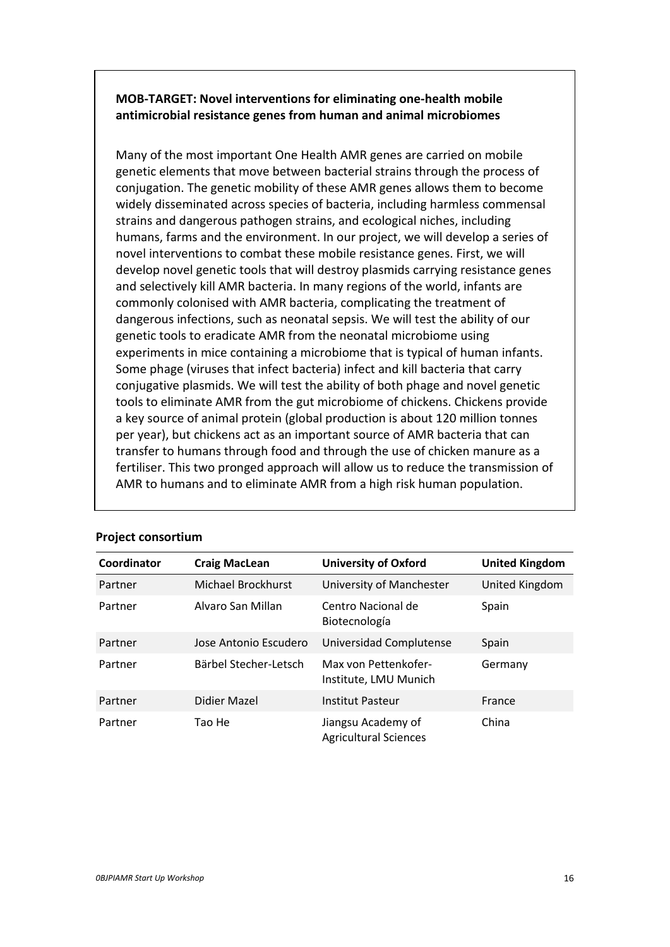# **MOB-TARGET: Novel interventions for eliminating one-health mobile antimicrobial resistance genes from human and animal microbiomes**

Many of the most important One Health AMR genes are carried on mobile genetic elements that move between bacterial strains through the process of conjugation. The genetic mobility of these AMR genes allows them to become widely disseminated across species of bacteria, including harmless commensal strains and dangerous pathogen strains, and ecological niches, including humans, farms and the environment. In our project, we will develop a series of novel interventions to combat these mobile resistance genes. First, we will develop novel genetic tools that will destroy plasmids carrying resistance genes and selectively kill AMR bacteria. In many regions of the world, infants are commonly colonised with AMR bacteria, complicating the treatment of dangerous infections, such as neonatal sepsis. We will test the ability of our genetic tools to eradicate AMR from the neonatal microbiome using experiments in mice containing a microbiome that is typical of human infants. Some phage (viruses that infect bacteria) infect and kill bacteria that carry conjugative plasmids. We will test the ability of both phage and novel genetic tools to eliminate AMR from the gut microbiome of chickens. Chickens provide a key source of animal protein (global production is about 120 million tonnes per year), but chickens act as an important source of AMR bacteria that can transfer to humans through food and through the use of chicken manure as a fertiliser. This two pronged approach will allow us to reduce the transmission of AMR to humans and to eliminate AMR from a high risk human population.

| Coordinator | <b>Craig MacLean</b>  | <b>University of Oxford</b>                        | <b>United Kingdom</b> |
|-------------|-----------------------|----------------------------------------------------|-----------------------|
| Partner     | Michael Brockhurst    | University of Manchester                           | United Kingdom        |
| Partner     | Alvaro San Millan     | Centro Nacional de<br>Biotecnología                | Spain                 |
| Partner     | Jose Antonio Escudero | Universidad Complutense                            | Spain                 |
| Partner     | Bärbel Stecher-Letsch | Max von Pettenkofer-<br>Institute, LMU Munich      | Germany               |
| Partner     | Didier Mazel          | Institut Pasteur                                   | France                |
| Partner     | Tao He                | Jiangsu Academy of<br><b>Agricultural Sciences</b> | China                 |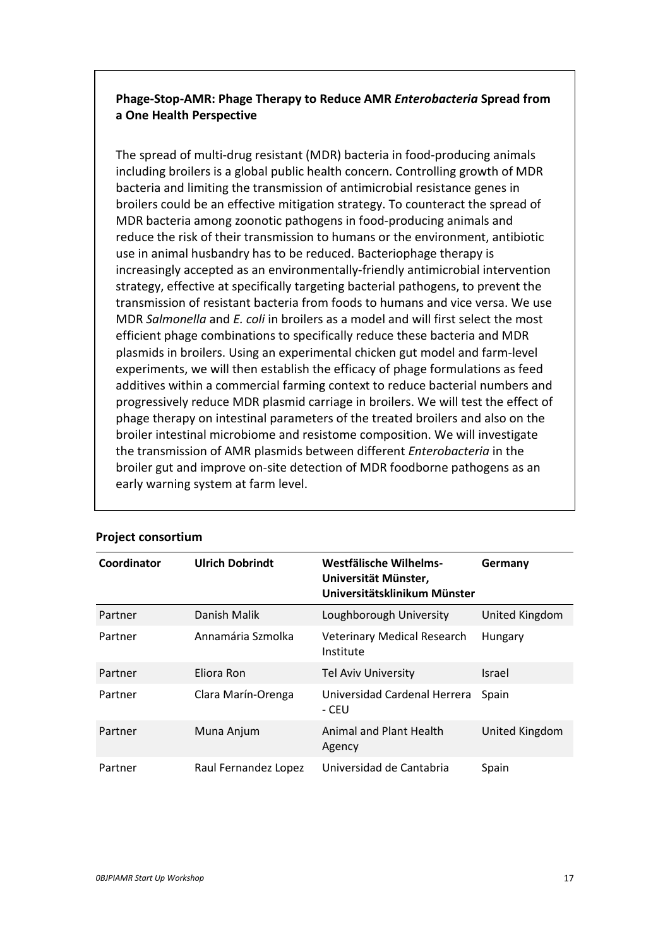# **Phage-Stop-AMR: Phage Therapy to Reduce AMR** *Enterobacteria* **Spread from a One Health Perspective**

The spread of multi-drug resistant (MDR) bacteria in food-producing animals including broilers is a global public health concern. Controlling growth of MDR bacteria and limiting the transmission of antimicrobial resistance genes in broilers could be an effective mitigation strategy. To counteract the spread of MDR bacteria among zoonotic pathogens in food-producing animals and reduce the risk of their transmission to humans or the environment, antibiotic use in animal husbandry has to be reduced. Bacteriophage therapy is increasingly accepted as an environmentally-friendly antimicrobial intervention strategy, effective at specifically targeting bacterial pathogens, to prevent the transmission of resistant bacteria from foods to humans and vice versa. We use MDR *Salmonella* and *E. coli* in broilers as a model and will first select the most efficient phage combinations to specifically reduce these bacteria and MDR plasmids in broilers. Using an experimental chicken gut model and farm-level experiments, we will then establish the efficacy of phage formulations as feed additives within a commercial farming context to reduce bacterial numbers and progressively reduce MDR plasmid carriage in broilers. We will test the effect of phage therapy on intestinal parameters of the treated broilers and also on the broiler intestinal microbiome and resistome composition. We will investigate the transmission of AMR plasmids between different *Enterobacteria* in the broiler gut and improve on-site detection of MDR foodborne pathogens as an early warning system at farm level.

| Coordinator | <b>Ulrich Dobrindt</b> | Westfälische Wilhelms-<br>Universität Münster,<br>Universitätsklinikum Münster | Germany        |
|-------------|------------------------|--------------------------------------------------------------------------------|----------------|
| Partner     | Danish Malik           | Loughborough University                                                        | United Kingdom |
| Partner     | Annamária Szmolka      | <b>Veterinary Medical Research</b><br>Institute                                | Hungary        |
| Partner     | Eliora Ron             | <b>Tel Aviv University</b>                                                     | Israel         |
| Partner     | Clara Marín-Orenga     | Universidad Cardenal Herrera<br>- CEU                                          | Spain          |
| Partner     | Muna Anjum             | Animal and Plant Health<br>Agency                                              | United Kingdom |
| Partner     | Raul Fernandez Lopez   | Universidad de Cantabria                                                       | Spain          |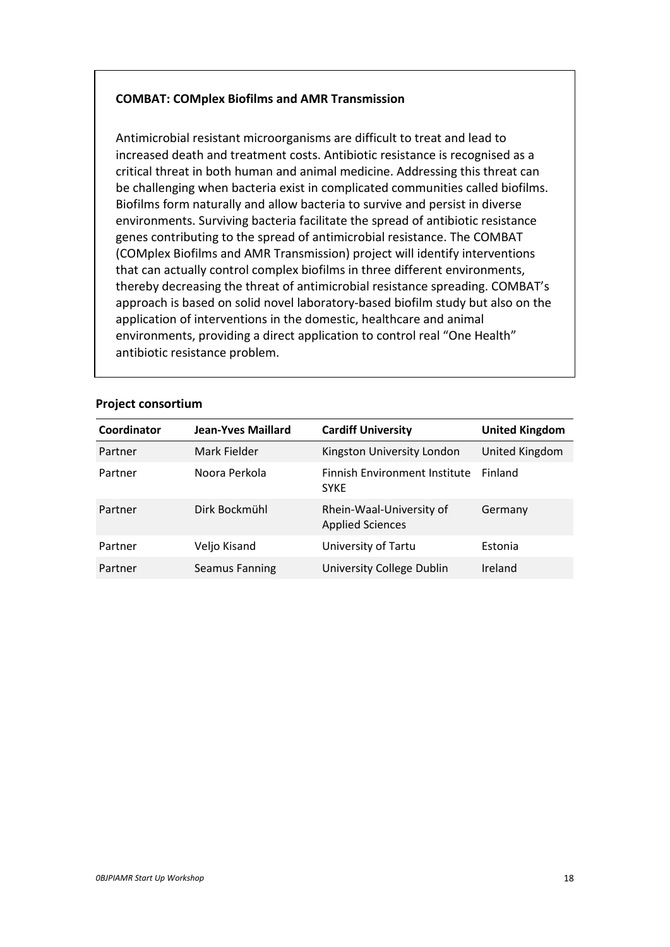# **COMBAT: COMplex Biofilms and AMR Transmission**

Antimicrobial resistant microorganisms are difficult to treat and lead to increased death and treatment costs. Antibiotic resistance is recognised as a critical threat in both human and animal medicine. Addressing this threat can be challenging when bacteria exist in complicated communities called biofilms. Biofilms form naturally and allow bacteria to survive and persist in diverse environments. Surviving bacteria facilitate the spread of antibiotic resistance genes contributing to the spread of antimicrobial resistance. The COMBAT (COMplex Biofilms and AMR Transmission) project will identify interventions that can actually control complex biofilms in three different environments, thereby decreasing the threat of antimicrobial resistance spreading. COMBAT's approach is based on solid novel laboratory-based biofilm study but also on the application of interventions in the domestic, healthcare and animal environments, providing a direct application to control real "One Health" antibiotic resistance problem.

| Coordinator | Jean-Yves Maillard    | <b>Cardiff University</b>                           | <b>United Kingdom</b> |
|-------------|-----------------------|-----------------------------------------------------|-----------------------|
| Partner     | Mark Fielder          | Kingston University London                          | United Kingdom        |
| Partner     | Noora Perkola         | <b>Finnish Environment Institute</b><br><b>SYKE</b> | Finland               |
| Partner     | Dirk Bockmühl         | Rhein-Waal-University of<br><b>Applied Sciences</b> | Germany               |
| Partner     | Veljo Kisand          | University of Tartu                                 | Estonia               |
| Partner     | <b>Seamus Fanning</b> | University College Dublin                           | Ireland               |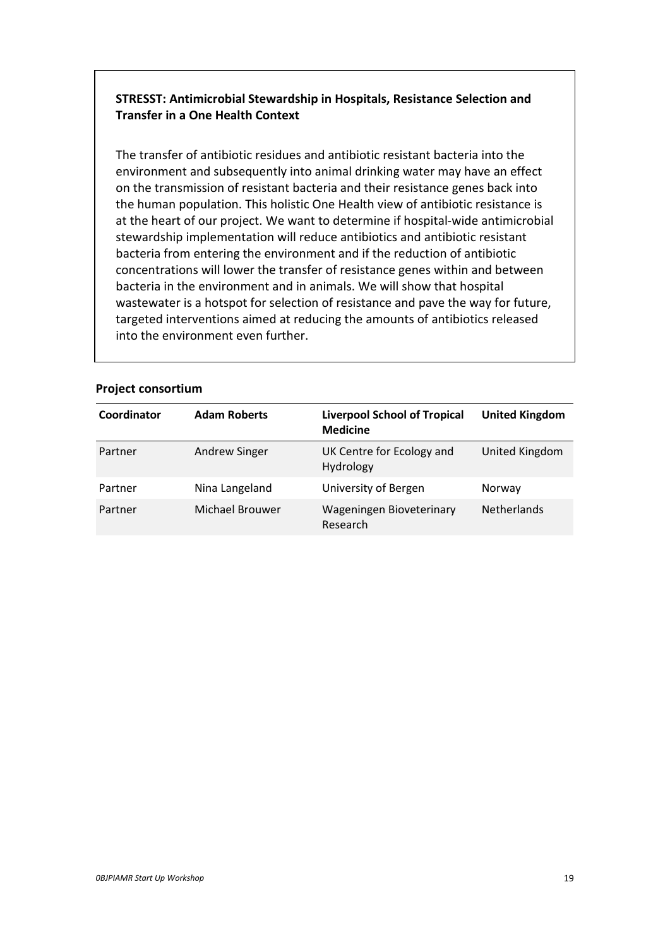# **STRESST: Antimicrobial Stewardship in Hospitals, Resistance Selection and Transfer in a One Health Context**

The transfer of antibiotic residues and antibiotic resistant bacteria into the environment and subsequently into animal drinking water may have an effect on the transmission of resistant bacteria and their resistance genes back into the human population. This holistic One Health view of antibiotic resistance is at the heart of our project. We want to determine if hospital-wide antimicrobial stewardship implementation will reduce antibiotics and antibiotic resistant bacteria from entering the environment and if the reduction of antibiotic concentrations will lower the transfer of resistance genes within and between bacteria in the environment and in animals. We will show that hospital wastewater is a hotspot for selection of resistance and pave the way for future, targeted interventions aimed at reducing the amounts of antibiotics released into the environment even further.

| Coordinator | <b>Adam Roberts</b>  | <b>Liverpool School of Tropical</b><br><b>Medicine</b> | <b>United Kingdom</b> |
|-------------|----------------------|--------------------------------------------------------|-----------------------|
| Partner     | <b>Andrew Singer</b> | UK Centre for Ecology and<br><b>Hydrology</b>          | United Kingdom        |
| Partner     | Nina Langeland       | University of Bergen                                   | Norway                |
| Partner     | Michael Brouwer      | Wageningen Bioveterinary<br>Research                   | <b>Netherlands</b>    |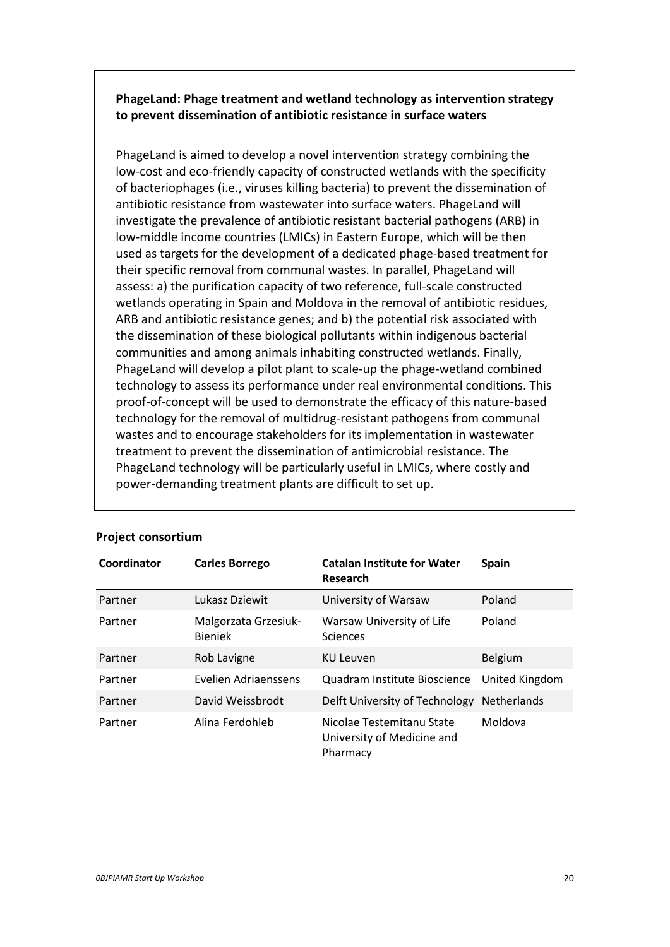**PhageLand: Phage treatment and wetland technology as intervention strategy to prevent dissemination of antibiotic resistance in surface waters**

PhageLand is aimed to develop a novel intervention strategy combining the low-cost and eco-friendly capacity of constructed wetlands with the specificity of bacteriophages (i.e., viruses killing bacteria) to prevent the dissemination of antibiotic resistance from wastewater into surface waters. PhageLand will investigate the prevalence of antibiotic resistant bacterial pathogens (ARB) in low-middle income countries (LMICs) in Eastern Europe, which will be then used as targets for the development of a dedicated phage-based treatment for their specific removal from communal wastes. In parallel, PhageLand will assess: a) the purification capacity of two reference, full-scale constructed wetlands operating in Spain and Moldova in the removal of antibiotic residues, ARB and antibiotic resistance genes; and b) the potential risk associated with the dissemination of these biological pollutants within indigenous bacterial communities and among animals inhabiting constructed wetlands. Finally, PhageLand will develop a pilot plant to scale-up the phage-wetland combined technology to assess its performance under real environmental conditions. This proof-of-concept will be used to demonstrate the efficacy of this nature-based technology for the removal of multidrug-resistant pathogens from communal wastes and to encourage stakeholders for its implementation in wastewater treatment to prevent the dissemination of antimicrobial resistance. The PhageLand technology will be particularly useful in LMICs, where costly and power-demanding treatment plants are difficult to set up.

| Coordinator | <b>Carles Borrego</b>                  | <b>Catalan Institute for Water</b><br>Research                      | <b>Spain</b>   |
|-------------|----------------------------------------|---------------------------------------------------------------------|----------------|
| Partner     | Lukasz Dziewit                         | University of Warsaw                                                | Poland         |
| Partner     | Malgorzata Grzesiuk-<br><b>Bieniek</b> | Warsaw University of Life<br><b>Sciences</b>                        | Poland         |
| Partner     | Rob Lavigne                            | <b>KU Leuven</b>                                                    | <b>Belgium</b> |
| Partner     | Evelien Adriaenssens                   | Quadram Institute Bioscience                                        | United Kingdom |
| Partner     | David Weissbrodt                       | Delft University of Technology                                      | Netherlands    |
| Partner     | Alina Ferdohleb                        | Nicolae Testemitanu State<br>University of Medicine and<br>Pharmacy | Moldova        |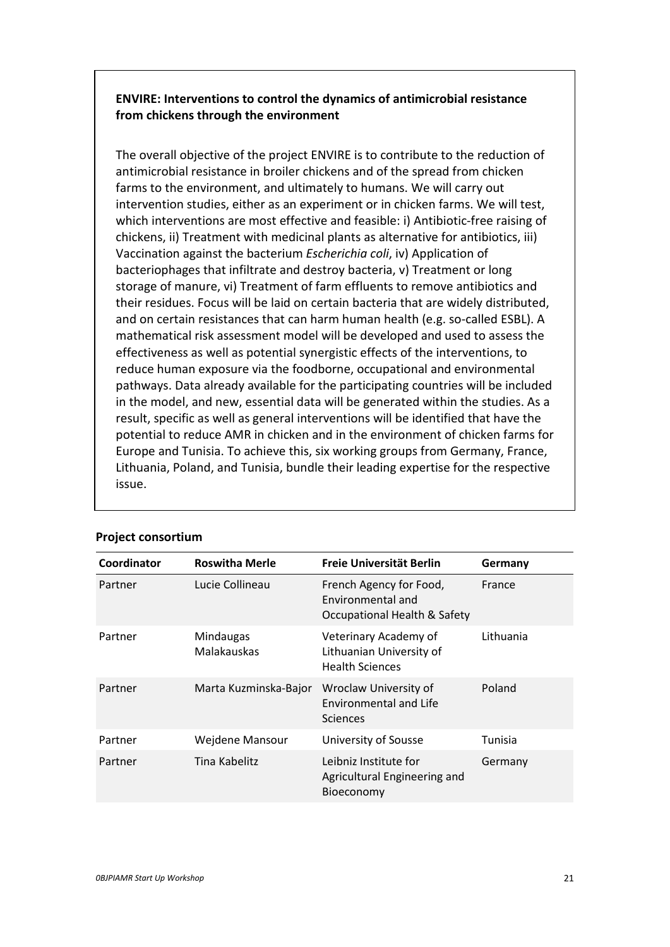**ENVIRE: Interventions to control the dynamics of antimicrobial resistance from chickens through the environment**

The overall objective of the project ENVIRE is to contribute to the reduction of antimicrobial resistance in broiler chickens and of the spread from chicken farms to the environment, and ultimately to humans. We will carry out intervention studies, either as an experiment or in chicken farms. We will test, which interventions are most effective and feasible: i) Antibiotic-free raising of chickens, ii) Treatment with medicinal plants as alternative for antibiotics, iii) Vaccination against the bacterium *Escherichia coli*, iv) Application of bacteriophages that infiltrate and destroy bacteria, v) Treatment or long storage of manure, vi) Treatment of farm effluents to remove antibiotics and their residues. Focus will be laid on certain bacteria that are widely distributed, and on certain resistances that can harm human health (e.g. so-called ESBL). A mathematical risk assessment model will be developed and used to assess the effectiveness as well as potential synergistic effects of the interventions, to reduce human exposure via the foodborne, occupational and environmental pathways. Data already available for the participating countries will be included in the model, and new, essential data will be generated within the studies. As a result, specific as well as general interventions will be identified that have the potential to reduce AMR in chicken and in the environment of chicken farms for Europe and Tunisia. To achieve this, six working groups from Germany, France, Lithuania, Poland, and Tunisia, bundle their leading expertise for the respective issue.

| Coordinator | <b>Roswitha Merle</b>    | Freie Universität Berlin                                                                | Germany   |
|-------------|--------------------------|-----------------------------------------------------------------------------------------|-----------|
| Partner     | Lucie Collineau          | French Agency for Food,<br>Environmental and<br><b>Occupational Health &amp; Safety</b> | France    |
| Partner     | Mindaugas<br>Malakauskas | Veterinary Academy of<br>Lithuanian University of<br><b>Health Sciences</b>             | Lithuania |
| Partner     | Marta Kuzminska-Bajor    | Wroclaw University of<br><b>Environmental and Life</b><br><b>Sciences</b>               | Poland    |
| Partner     | Wejdene Mansour          | University of Sousse                                                                    | Tunisia   |
| Partner     | Tina Kabelitz            | Leibniz Institute for<br>Agricultural Engineering and<br>Bioeconomy                     | Germany   |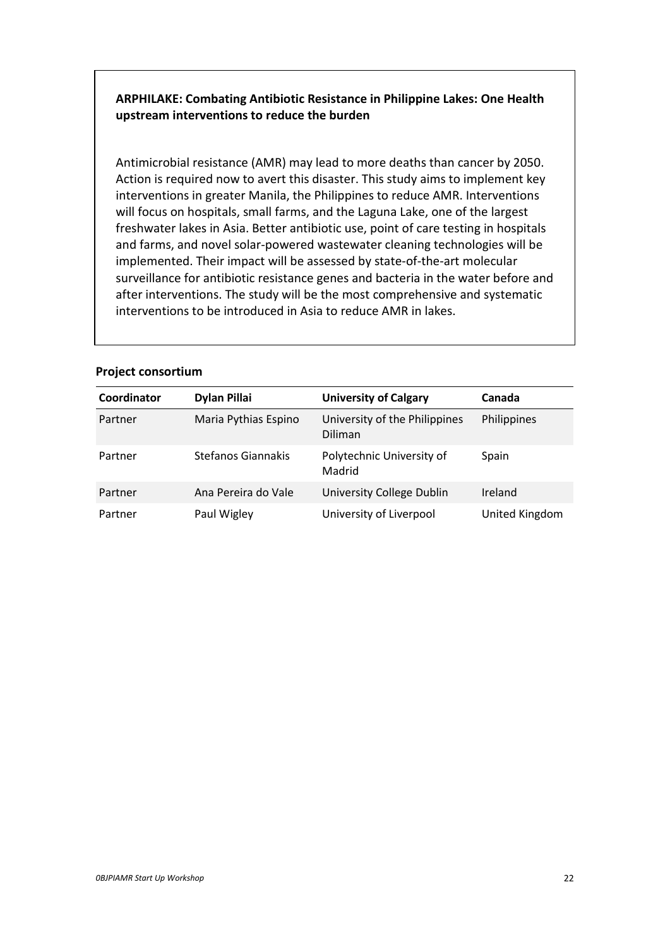# **ARPHILAKE: Combating Antibiotic Resistance in Philippine Lakes: One Health upstream interventions to reduce the burden**

Antimicrobial resistance (AMR) may lead to more deaths than cancer by 2050. Action is required now to avert this disaster. This study aims to implement key interventions in greater Manila, the Philippines to reduce AMR. Interventions will focus on hospitals, small farms, and the Laguna Lake, one of the largest freshwater lakes in Asia. Better antibiotic use, point of care testing in hospitals and farms, and novel solar-powered wastewater cleaning technologies will be implemented. Their impact will be assessed by state-of-the-art molecular surveillance for antibiotic resistance genes and bacteria in the water before and after interventions. The study will be the most comprehensive and systematic interventions to be introduced in Asia to reduce AMR in lakes.

| Coordinator | <b>Dylan Pillai</b>  | <b>University of Calgary</b>             | Canada         |
|-------------|----------------------|------------------------------------------|----------------|
| Partner     | Maria Pythias Espino | University of the Philippines<br>Diliman | Philippines    |
| Partner     | Stefanos Giannakis   | Polytechnic University of<br>Madrid      | Spain          |
| Partner     | Ana Pereira do Vale  | University College Dublin                | Ireland        |
| Partner     | Paul Wigley          | University of Liverpool                  | United Kingdom |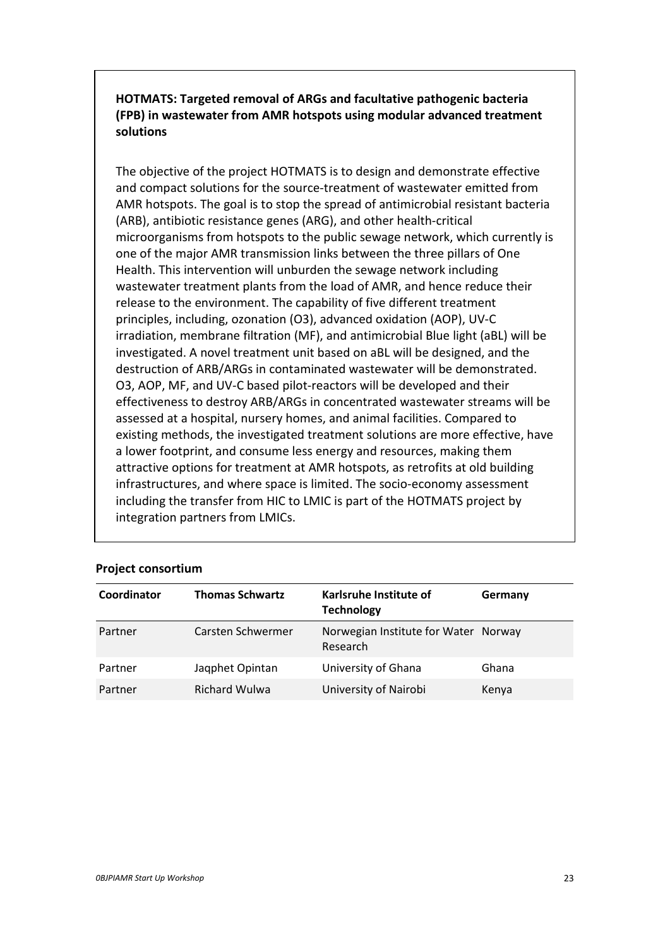**HOTMATS: Targeted removal of ARGs and facultative pathogenic bacteria (FPB) in wastewater from AMR hotspots using modular advanced treatment solutions**

The objective of the project HOTMATS is to design and demonstrate effective and compact solutions for the source-treatment of wastewater emitted from AMR hotspots. The goal is to stop the spread of antimicrobial resistant bacteria (ARB), antibiotic resistance genes (ARG), and other health-critical microorganisms from hotspots to the public sewage network, which currently is one of the major AMR transmission links between the three pillars of One Health. This intervention will unburden the sewage network including wastewater treatment plants from the load of AMR, and hence reduce their release to the environment. The capability of five different treatment principles, including, ozonation (O3), advanced oxidation (AOP), UV-C irradiation, membrane filtration (MF), and antimicrobial Blue light (aBL) will be investigated. A novel treatment unit based on aBL will be designed, and the destruction of ARB/ARGs in contaminated wastewater will be demonstrated. O3, AOP, MF, and UV-C based pilot-reactors will be developed and their effectiveness to destroy ARB/ARGs in concentrated wastewater streams will be assessed at a hospital, nursery homes, and animal facilities. Compared to existing methods, the investigated treatment solutions are more effective, have a lower footprint, and consume less energy and resources, making them attractive options for treatment at AMR hotspots, as retrofits at old building infrastructures, and where space is limited. The socio-economy assessment including the transfer from HIC to LMIC is part of the HOTMATS project by integration partners from LMICs.

| Coordinator | <b>Thomas Schwartz</b> | Karlsruhe Institute of<br><b>Technology</b>      | Germany |
|-------------|------------------------|--------------------------------------------------|---------|
| Partner     | Carsten Schwermer      | Norwegian Institute for Water Norway<br>Research |         |
| Partner     | Jaqphet Opintan        | University of Ghana                              | Ghana   |
| Partner     | <b>Richard Wulwa</b>   | University of Nairobi                            | Kenya   |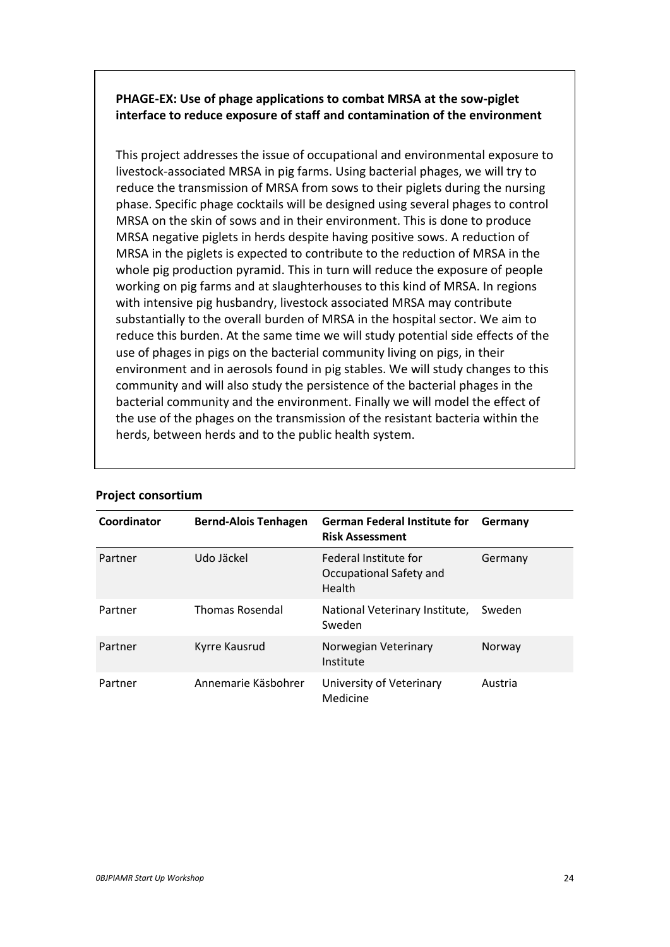# **PHAGE-EX: Use of phage applications to combat MRSA at the sow-piglet interface to reduce exposure of staff and contamination of the environment**

This project addresses the issue of occupational and environmental exposure to livestock-associated MRSA in pig farms. Using bacterial phages, we will try to reduce the transmission of MRSA from sows to their piglets during the nursing phase. Specific phage cocktails will be designed using several phages to control MRSA on the skin of sows and in their environment. This is done to produce MRSA negative piglets in herds despite having positive sows. A reduction of MRSA in the piglets is expected to contribute to the reduction of MRSA in the whole pig production pyramid. This in turn will reduce the exposure of people working on pig farms and at slaughterhouses to this kind of MRSA. In regions with intensive pig husbandry, livestock associated MRSA may contribute substantially to the overall burden of MRSA in the hospital sector. We aim to reduce this burden. At the same time we will study potential side effects of the use of phages in pigs on the bacterial community living on pigs, in their environment and in aerosols found in pig stables. We will study changes to this community and will also study the persistence of the bacterial phages in the bacterial community and the environment. Finally we will model the effect of the use of the phages on the transmission of the resistant bacteria within the herds, between herds and to the public health system.

| Coordinator | <b>Bernd-Alois Tenhagen</b> | <b>German Federal Institute for</b><br><b>Risk Assessment</b> | Germany |
|-------------|-----------------------------|---------------------------------------------------------------|---------|
| Partner     | Udo Jäckel                  | Federal Institute for<br>Occupational Safety and<br>Health    | Germany |
| Partner     | <b>Thomas Rosendal</b>      | National Veterinary Institute,<br>Sweden                      | Sweden  |
| Partner     | Kyrre Kausrud               | Norwegian Veterinary<br>Institute                             | Norway  |
| Partner     | Annemarie Käsbohrer         | University of Veterinary<br>Medicine                          | Austria |